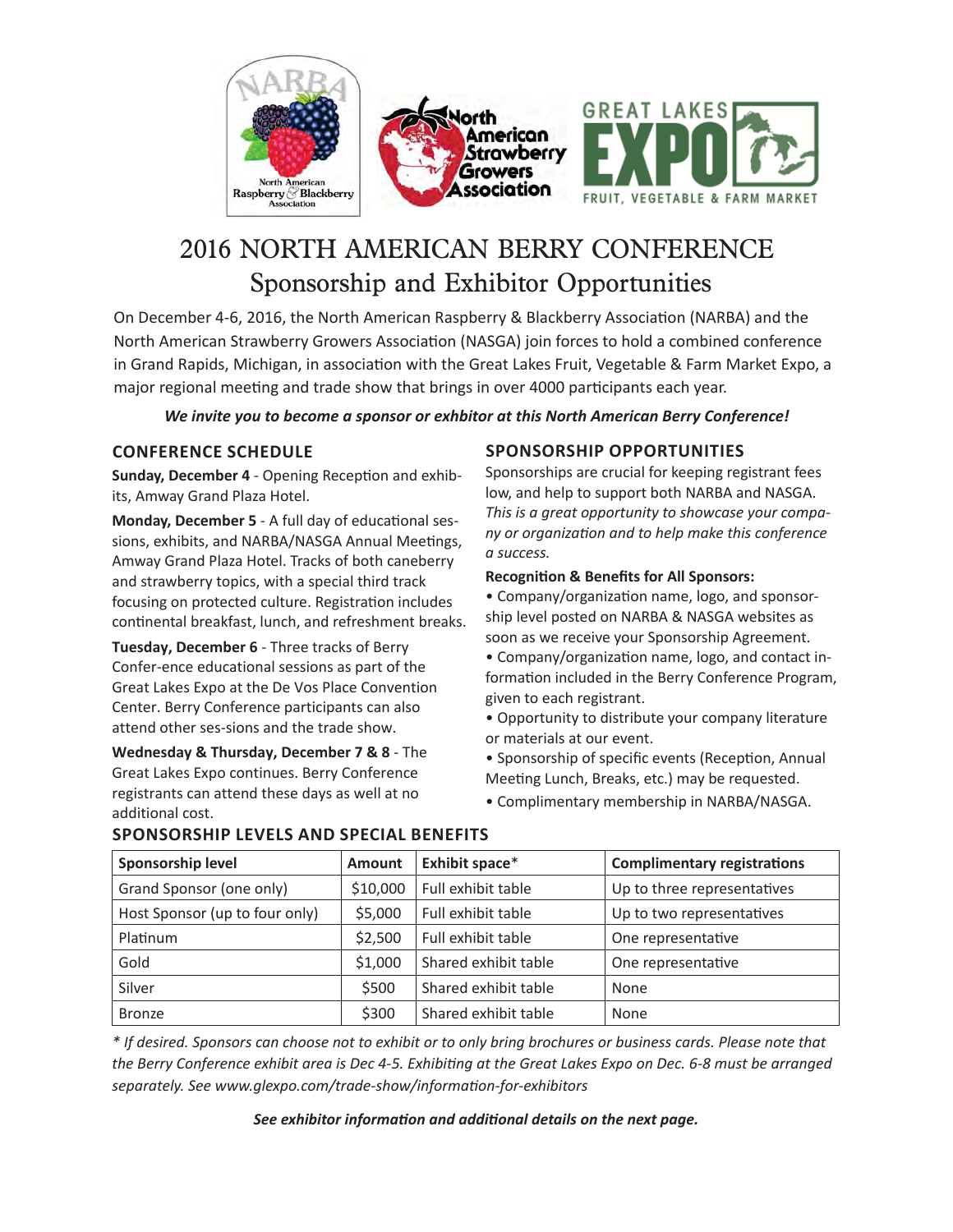





# 2016 NORTH AMERICAN BERRY CONFERENCE Sponsorship and Exhibitor Opportunities

On December 4-6, 2016, the North American Raspberry & Blackberry Association (NARBA) and the North American Strawberry Growers Association (NASGA) join forces to hold a combined conference in Grand Rapids, Michigan, in association with the Great Lakes Fruit, Vegetable & Farm Market Expo, a major regional meeting and trade show that brings in over 4000 participants each year.

#### *We invite you to become a sponsor or exhbitor at this North American Berry Conference!*

### **Conference Schedule**

**Sunday, December 4** - Opening Reception and exhibits, Amway Grand Plaza Hotel.

**Monday, December 5** - A full day of educational sessions, exhibits, and NARBA/NASGA Annual Meetings, Amway Grand Plaza Hotel. Tracks of both caneberry and strawberry topics, with a special third track focusing on protected culture. Registration includes continental breakfast, lunch, and refreshment breaks.

**Tuesday, December 6** - Three tracks of Berry Confer-ence educational sessions as part of the Great Lakes Expo at the De Vos Place Convention Center. Berry Conference participants can also attend other ses-sions and the trade show.

**Wednesday & Thursday, December 7 & 8** - The Great Lakes Expo continues. Berry Conference registrants can attend these days as well at no additional cost.

### **Sponsorship Opportunities**

Sponsorships are crucial for keeping registrant fees low, and help to support both NARBA and NASGA. *This is a great opportunity to showcase your company or organization and to help make this conference a success.* 

#### **Recognition & Benefits for All Sponsors:**

• Company/organization name, logo, and sponsorship level posted on NARBA & NASGA websites as soon as we receive your Sponsorship Agreement.

- Company/organization name, logo, and contact information included in the Berry Conference Program, given to each registrant.
- Opportunity to distribute your company literature or materials at our event.
- Sponsorship of specific events (Reception, Annual Meeting Lunch, Breaks, etc.) may be requested.
- Complimentary membership in NARBA/NASGA.

| Sponsorship level              | <b>Amount</b> | Exhibit space*       | <b>Complimentary registrations</b> |
|--------------------------------|---------------|----------------------|------------------------------------|
| Grand Sponsor (one only)       | \$10,000      | Full exhibit table   | Up to three representatives        |
| Host Sponsor (up to four only) | \$5,000       | Full exhibit table   | Up to two representatives          |
| Platinum                       | \$2,500       | Full exhibit table   | One representative                 |
| Gold                           | \$1,000       | Shared exhibit table | One representative                 |
| Silver                         | \$500         | Shared exhibit table | None                               |
| <b>Bronze</b>                  | \$300         | Shared exhibit table | None                               |

## **Sponsorship Levels and Special Benefits**

*\* If desired. Sponsors can choose not to exhibit or to only bring brochures or business cards. Please note that the Berry Conference exhibit area is Dec 4-5. Exhibiting at the Great Lakes Expo on Dec. 6-8 must be arranged separately. See www.glexpo.com/trade-show/information-for-exhibitors*

*See exhibitor information and additional details on the next page.*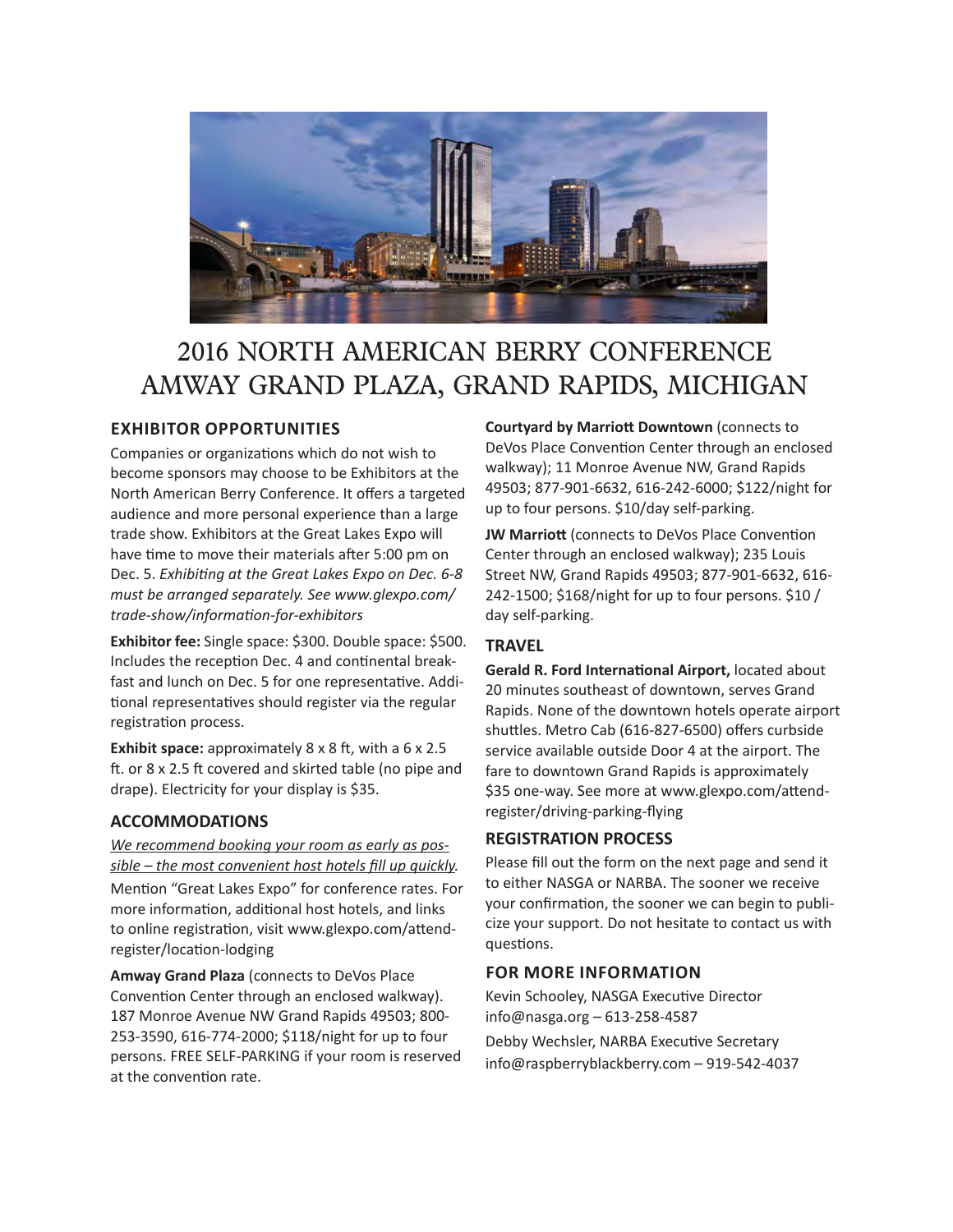

# 2016 NORTH AMERICAN BERRY CONFERENCE AMWAY GRAND PLAZA, GRAND RAPIDS, MICHIGAN

### **Exhibitor opportunities**

Companies or organizations which do not wish to become sponsors may choose to be Exhibitors at the North American Berry Conference. It offers a targeted audience and more personal experience than a large trade show. Exhibitors at the Great Lakes Expo will have time to move their materials after 5:00 pm on Dec. 5. *Exhibiting at the Great Lakes Expo on Dec. 6-8 must be arranged separately. See www.glexpo.com/ trade-show/information-for-exhibitors*

**Exhibitor fee:** Single space: \$300. Double space: \$500. Includes the reception Dec. 4 and continental breakfast and lunch on Dec. 5 for one representative. Additional representatives should register via the regular registration process.

**Exhibit space:** approximately 8 x 8 ft, with a 6 x 2.5 ft. or 8 x 2.5 ft covered and skirted table (no pipe and drape). Electricity for your display is \$35.

### **ACCOMMODATIONS**

*We recommend booking your room as early as possible – the most convenient host hotels fill up quickly.*  Mention "Great Lakes Expo" for conference rates. For more information, additional host hotels, and links to online registration, visit www.glexpo.com/attendregister/location-lodging

**Amway Grand Plaza** (connects to DeVos Place Convention Center through an enclosed walkway). 187 Monroe Avenue NW Grand Rapids 49503; 800- 253-3590, 616-774-2000; \$118/night for up to four persons. FREE SELF-PARKING if your room is reserved at the convention rate.

**Courtyard by Marriott Downtown** (connects to DeVos Place Convention Center through an enclosed walkway); 11 Monroe Avenue NW, Grand Rapids 49503; 877-901-6632, 616-242-6000; \$122/night for up to four persons. \$10/day self-parking.

**JW Marriott** (connects to DeVos Place Convention Center through an enclosed walkway); 235 Louis Street NW, Grand Rapids 49503; 877-901-6632, 616- 242-1500; \$168/night for up to four persons. \$10 / day self-parking.

### **TRAVEL**

**Gerald R. Ford International Airport,** located about 20 minutes southeast of downtown, serves Grand Rapids. None of the downtown hotels operate airport shuttles. Metro Cab (616-827-6500) offers curbside service available outside Door 4 at the airport. The fare to downtown Grand Rapids is approximately \$35 one-way. See more at www.glexpo.com/attendregister/driving-parking-flying

## **REGISTRATION PROCESS**

Please fill out the form on the next page and send it to either NASGA or NARBA. The sooner we receive your confirmation, the sooner we can begin to publicize your support. Do not hesitate to contact us with questions.

### **For more information**

Kevin Schooley, NASGA Executive Director info@nasga.org – 613-258-4587 Debby Wechsler, NARBA Executive Secretary info@raspberryblackberry.com – 919-542-4037